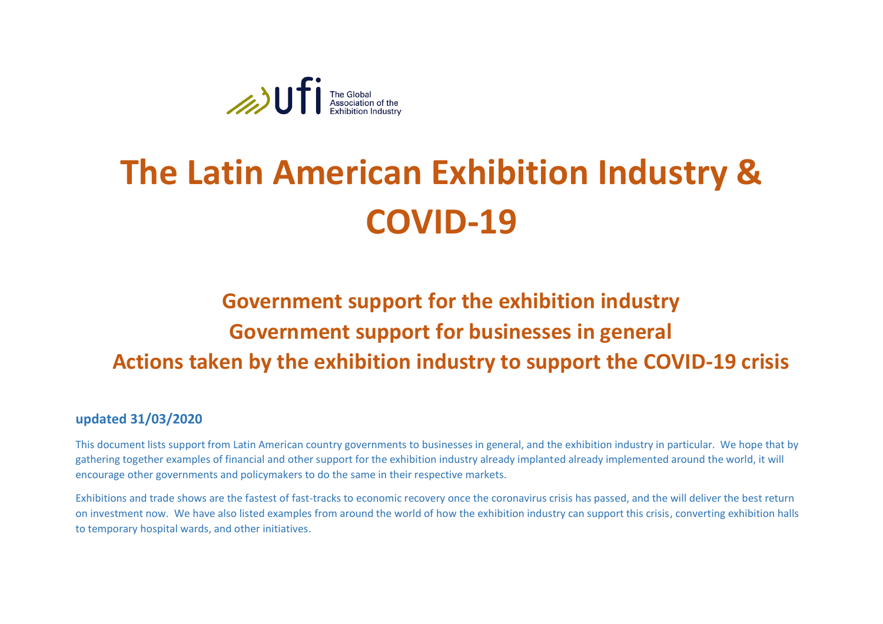

# **The Latin American Exhibition Industry & COVID-19**

## **Government support for the exhibition industry Government support for businesses in general Actions taken by the exhibition industry to support the COVID-19 crisis**

#### **updated 31/03/2020**

This document lists support from Latin American country governments to businesses in general, and the exhibition industry in particular. We hope that by gathering together examples of financial and other support for the exhibition industry already implanted already implemented around the world, it will encourage other governments and policymakers to do the same in their respective markets.

Exhibitions and trade shows are the fastest of fast-tracks to economic recovery once the coronavirus crisis has passed, and the will deliver the best return on investment now. We have also listed examples from around the world of how the exhibition industry can support this crisis, converting exhibition halls to temporary hospital wards, and other initiatives.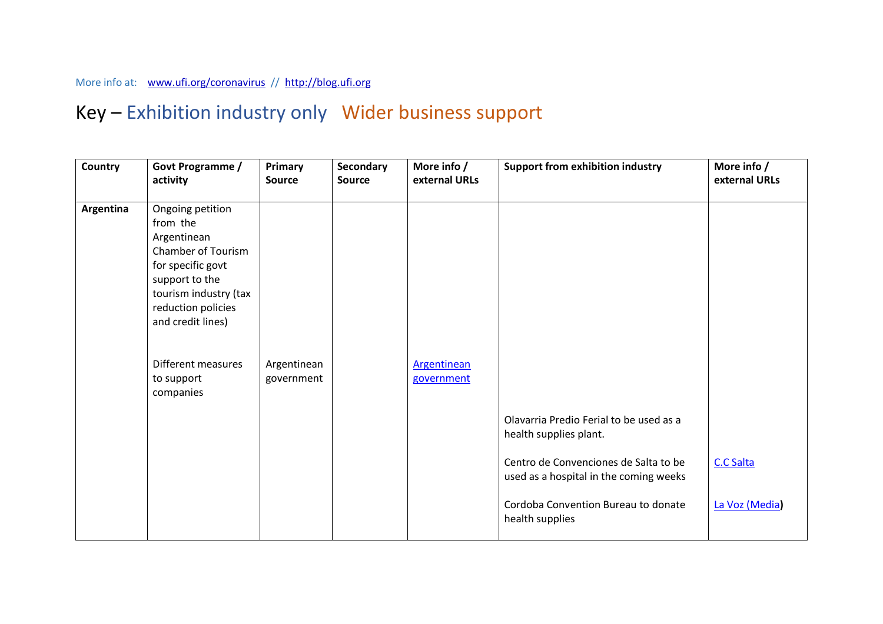#### More info at: [www.ufi.org/coronavirus](http://www.ufi.org/coronavirus) // [http://blog.ufi.org](http://blog.ufi.org/)

### Key – Exhibition industry only Wider business support

| Country   | Govt Programme /<br>activity                                                                                                                                                                                                         | Primary<br><b>Source</b>  | Secondary<br><b>Source</b> | More info /<br>external URLs     | <b>Support from exhibition industry</b>                                                                                                                                                                        | More info /<br>external URLs |
|-----------|--------------------------------------------------------------------------------------------------------------------------------------------------------------------------------------------------------------------------------------|---------------------------|----------------------------|----------------------------------|----------------------------------------------------------------------------------------------------------------------------------------------------------------------------------------------------------------|------------------------------|
| Argentina | Ongoing petition<br>from the<br>Argentinean<br><b>Chamber of Tourism</b><br>for specific govt<br>support to the<br>tourism industry (tax<br>reduction policies<br>and credit lines)<br>Different measures<br>to support<br>companies | Argentinean<br>government |                            | <b>Argentinean</b><br>government | Olavarria Predio Ferial to be used as a<br>health supplies plant.<br>Centro de Convenciones de Salta to be<br>used as a hospital in the coming weeks<br>Cordoba Convention Bureau to donate<br>health supplies | C.C Salta<br>La Voz (Media)  |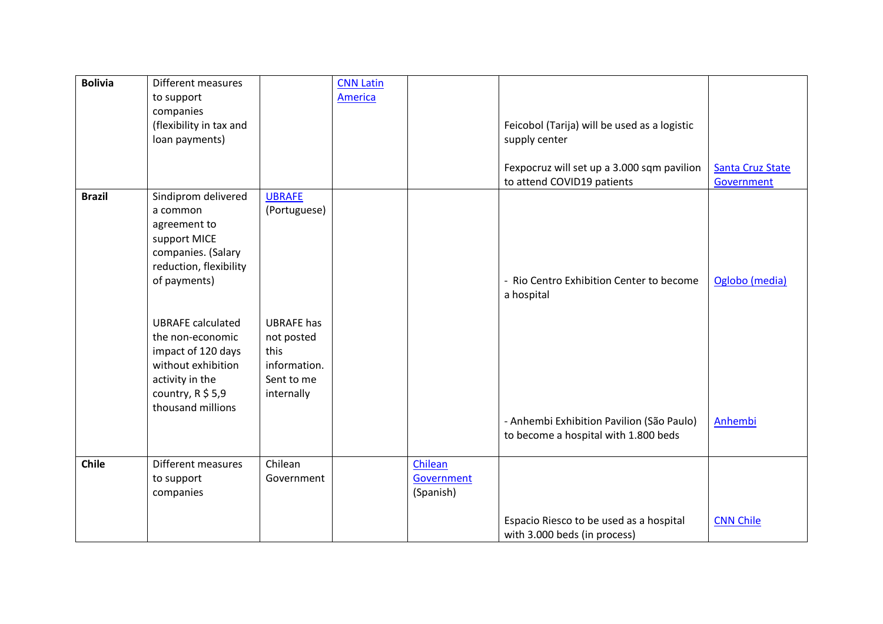| <b>Bolivia</b> | <b>Different measures</b><br>to support<br>companies<br>(flexibility in tax and<br>loan payments)                                                       |                                                                                     | <b>CNN Latin</b><br>America |                                    | Feicobol (Tarija) will be used as a logistic<br>supply center            |                                       |
|----------------|---------------------------------------------------------------------------------------------------------------------------------------------------------|-------------------------------------------------------------------------------------|-----------------------------|------------------------------------|--------------------------------------------------------------------------|---------------------------------------|
|                |                                                                                                                                                         |                                                                                     |                             |                                    | Fexpocruz will set up a 3.000 sqm pavilion<br>to attend COVID19 patients | <b>Santa Cruz State</b><br>Government |
| <b>Brazil</b>  | Sindiprom delivered<br>a common<br>agreement to<br>support MICE<br>companies. (Salary<br>reduction, flexibility<br>of payments)                         | <b>UBRAFE</b><br>(Portuguese)                                                       |                             |                                    | - Rio Centro Exhibition Center to become<br>a hospital                   | Oglobo (media)                        |
|                | <b>UBRAFE</b> calculated<br>the non-economic<br>impact of 120 days<br>without exhibition<br>activity in the<br>country, $R$ \$ 5,9<br>thousand millions | <b>UBRAFE</b> has<br>not posted<br>this<br>information.<br>Sent to me<br>internally |                             |                                    | - Anhembi Exhibition Pavilion (São Paulo)                                | Anhembi                               |
|                |                                                                                                                                                         |                                                                                     |                             |                                    | to become a hospital with 1.800 beds                                     |                                       |
| Chile          | Different measures<br>to support<br>companies                                                                                                           | Chilean<br>Government                                                               |                             | Chilean<br>Government<br>(Spanish) | Espacio Riesco to be used as a hospital                                  | <b>CNN Chile</b>                      |
|                |                                                                                                                                                         |                                                                                     |                             |                                    | with 3.000 beds (in process)                                             |                                       |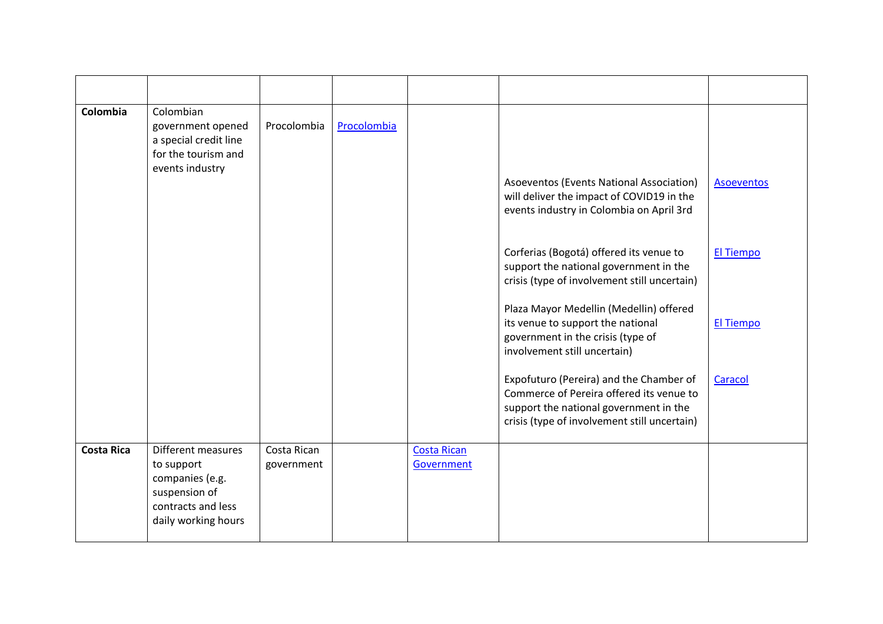| Colombia          | Colombian<br>government opened<br>a special credit line<br>for the tourism and<br>events industry                 | Procolombia               | Procolombia |                                  | Asoeventos (Events National Association)<br>will deliver the impact of COVID19 in the<br>events industry in Colombia on April 3rd                                             | <b>Asoeventos</b> |
|-------------------|-------------------------------------------------------------------------------------------------------------------|---------------------------|-------------|----------------------------------|-------------------------------------------------------------------------------------------------------------------------------------------------------------------------------|-------------------|
|                   |                                                                                                                   |                           |             |                                  | Corferias (Bogotá) offered its venue to<br>support the national government in the<br>crisis (type of involvement still uncertain)<br>Plaza Mayor Medellin (Medellin) offered  | <b>El Tiempo</b>  |
|                   |                                                                                                                   |                           |             |                                  | its venue to support the national<br>government in the crisis (type of<br>involvement still uncertain)                                                                        | <b>El Tiempo</b>  |
|                   |                                                                                                                   |                           |             |                                  | Expofuturo (Pereira) and the Chamber of<br>Commerce of Pereira offered its venue to<br>support the national government in the<br>crisis (type of involvement still uncertain) | Caracol           |
| <b>Costa Rica</b> | Different measures<br>to support<br>companies (e.g.<br>suspension of<br>contracts and less<br>daily working hours | Costa Rican<br>government |             | <b>Costa Rican</b><br>Government |                                                                                                                                                                               |                   |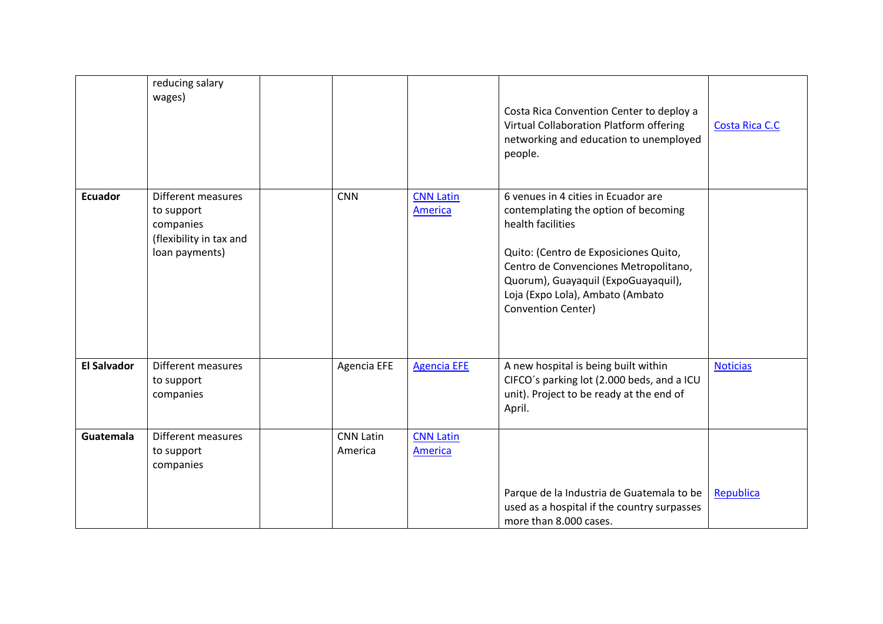|                    | reducing salary<br>wages)                                                                  |                             |                                    | Costa Rica Convention Center to deploy a<br>Virtual Collaboration Platform offering<br>networking and education to unemployed<br>people.                                                                                                                                            | Costa Rica C.C  |
|--------------------|--------------------------------------------------------------------------------------------|-----------------------------|------------------------------------|-------------------------------------------------------------------------------------------------------------------------------------------------------------------------------------------------------------------------------------------------------------------------------------|-----------------|
| <b>Ecuador</b>     | Different measures<br>to support<br>companies<br>(flexibility in tax and<br>loan payments) | <b>CNN</b>                  | <b>CNN Latin</b><br>America        | 6 venues in 4 cities in Ecuador are<br>contemplating the option of becoming<br>health facilities<br>Quito: (Centro de Exposiciones Quito,<br>Centro de Convenciones Metropolitano,<br>Quorum), Guayaquil (ExpoGuayaquil),<br>Loja (Expo Lola), Ambato (Ambato<br>Convention Center) |                 |
| <b>El Salvador</b> | <b>Different measures</b><br>to support<br>companies                                       | Agencia EFE                 | <b>Agencia EFE</b>                 | A new hospital is being built within<br>CIFCO's parking lot (2.000 beds, and a ICU<br>unit). Project to be ready at the end of<br>April.                                                                                                                                            | <b>Noticias</b> |
| Guatemala          | Different measures<br>to support<br>companies                                              | <b>CNN Latin</b><br>America | <b>CNN Latin</b><br><b>America</b> | Parque de la Industria de Guatemala to be<br>used as a hospital if the country surpasses<br>more than 8.000 cases.                                                                                                                                                                  | Republica       |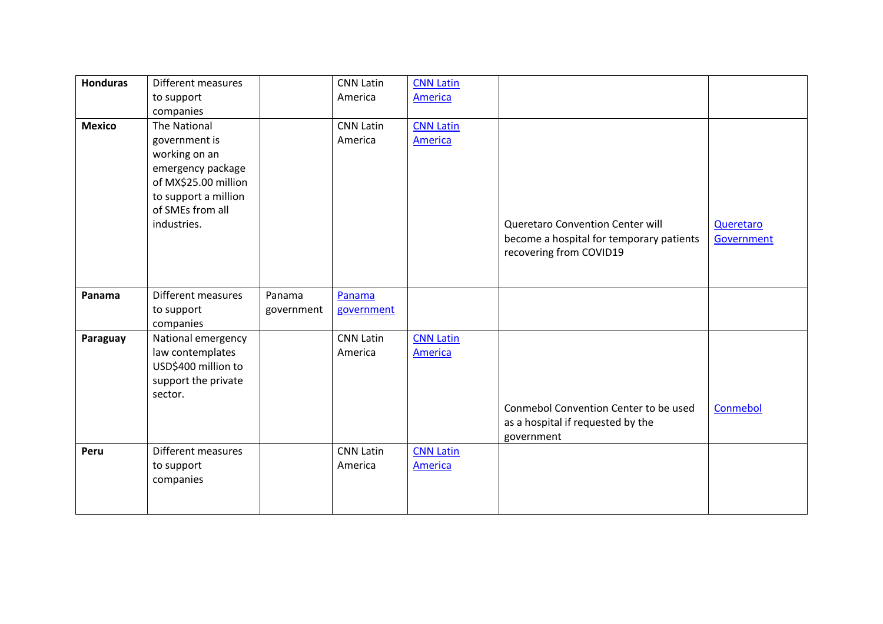| <b>Honduras</b> | Different measures   |            | <b>CNN Latin</b> | <b>CNN Latin</b> |                                          |            |
|-----------------|----------------------|------------|------------------|------------------|------------------------------------------|------------|
|                 | to support           |            | America          | <b>America</b>   |                                          |            |
|                 | companies            |            |                  |                  |                                          |            |
| <b>Mexico</b>   | The National         |            | <b>CNN Latin</b> | <b>CNN Latin</b> |                                          |            |
|                 | government is        |            | America          | America          |                                          |            |
|                 | working on an        |            |                  |                  |                                          |            |
|                 | emergency package    |            |                  |                  |                                          |            |
|                 | of MX\$25.00 million |            |                  |                  |                                          |            |
|                 | to support a million |            |                  |                  |                                          |            |
|                 | of SMEs from all     |            |                  |                  |                                          |            |
|                 | industries.          |            |                  |                  | Queretaro Convention Center will         | Queretaro  |
|                 |                      |            |                  |                  | become a hospital for temporary patients | Government |
|                 |                      |            |                  |                  | recovering from COVID19                  |            |
|                 |                      |            |                  |                  |                                          |            |
|                 |                      |            |                  |                  |                                          |            |
| Panama          | Different measures   | Panama     | Panama           |                  |                                          |            |
|                 | to support           | government | government       |                  |                                          |            |
|                 | companies            |            |                  |                  |                                          |            |
| Paraguay        | National emergency   |            | <b>CNN Latin</b> | <b>CNN Latin</b> |                                          |            |
|                 | law contemplates     |            | America          | <b>America</b>   |                                          |            |
|                 | USD\$400 million to  |            |                  |                  |                                          |            |
|                 | support the private  |            |                  |                  |                                          |            |
|                 | sector.              |            |                  |                  |                                          |            |
|                 |                      |            |                  |                  | Conmebol Convention Center to be used    | Conmebol   |
|                 |                      |            |                  |                  | as a hospital if requested by the        |            |
|                 |                      |            |                  |                  | government                               |            |
| Peru            | Different measures   |            | <b>CNN Latin</b> | <b>CNN Latin</b> |                                          |            |
|                 | to support           |            | America          | <b>America</b>   |                                          |            |
|                 | companies            |            |                  |                  |                                          |            |
|                 |                      |            |                  |                  |                                          |            |
|                 |                      |            |                  |                  |                                          |            |